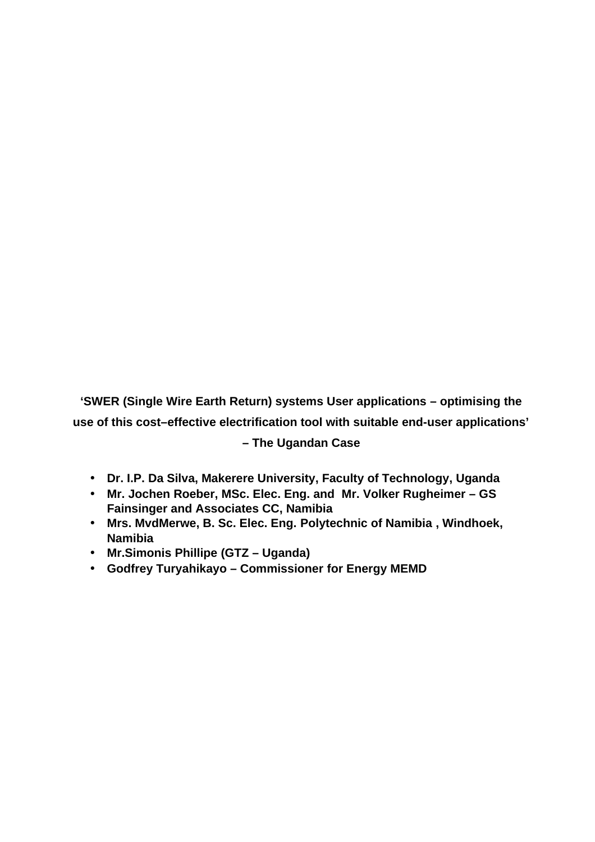**'SWER (Single Wire Earth Return) systems User applications – optimising the use of this cost–effective electrification tool with suitable end-user applications' – The Ugandan Case**

- **Dr. I.P. Da Silva, Makerere University, Faculty of Technology, Uganda**
- **Mr. Jochen Roeber, MSc. Elec. Eng. and Mr. Volker Rugheimer GS Fainsinger and Associates CC, Namibia**
- **Mrs. MvdMerwe, B. Sc. Elec. Eng. Polytechnic of Namibia , Windhoek, Namibia**
- **Mr.Simonis Phillipe (GTZ Uganda)**
- **Godfrey Turyahikayo Commissioner for Energy MEMD**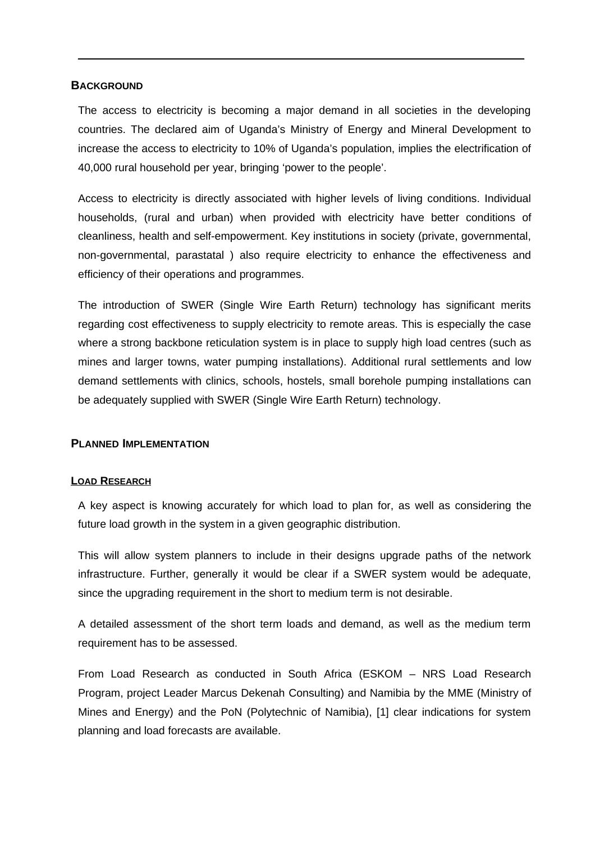### **BACKGROUND**

The access to electricity is becoming a major demand in all societies in the developing countries. The declared aim of Uganda's Ministry of Energy and Mineral Development to increase the access to electricity to 10% of Uganda's population, implies the electrification of 40,000 rural household per year, bringing 'power to the people'.

Access to electricity is directly associated with higher levels of living conditions. Individual households, (rural and urban) when provided with electricity have better conditions of cleanliness, health and self-empowerment. Key institutions in society (private, governmental, non-governmental, parastatal ) also require electricity to enhance the effectiveness and efficiency of their operations and programmes.

The introduction of SWER (Single Wire Earth Return) technology has significant merits regarding cost effectiveness to supply electricity to remote areas. This is especially the case where a strong backbone reticulation system is in place to supply high load centres (such as mines and larger towns, water pumping installations). Additional rural settlements and low demand settlements with clinics, schools, hostels, small borehole pumping installations can be adequately supplied with SWER (Single Wire Earth Return) technology.

### **PLANNED IMPLEMENTATION**

### **LOAD RESEARCH**

A key aspect is knowing accurately for which load to plan for, as well as considering the future load growth in the system in a given geographic distribution.

This will allow system planners to include in their designs upgrade paths of the network infrastructure. Further, generally it would be clear if a SWER system would be adequate, since the upgrading requirement in the short to medium term is not desirable.

A detailed assessment of the short term loads and demand, as well as the medium term requirement has to be assessed.

From Load Research as conducted in South Africa (ESKOM – NRS Load Research Program, project Leader Marcus Dekenah Consulting) and Namibia by the MME (Ministry of Mines and Energy) and the PoN (Polytechnic of Namibia), [1] clear indications for system planning and load forecasts are available.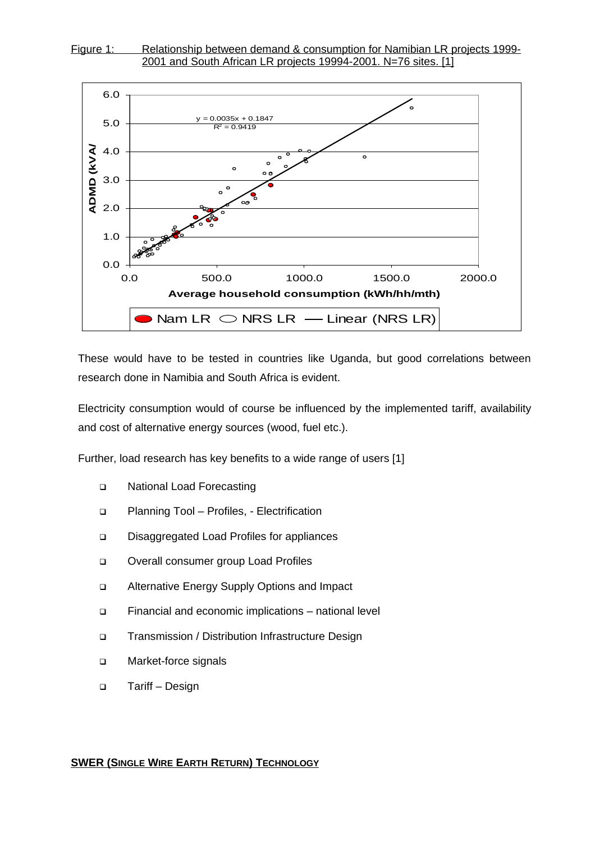



These would have to be tested in countries like Uganda, but good correlations between research done in Namibia and South Africa is evident.

Electricity consumption would of course be influenced by the implemented tariff, availability and cost of alternative energy sources (wood, fuel etc.).

Further, load research has key benefits to a wide range of users [1]

- □ National Load Forecasting
- □ Planning Tool Profiles, Electrification
- Disaggregated Load Profiles for appliances
- □ Overall consumer group Load Profiles
- Alternative Energy Supply Options and Impact
- Financial and economic implications national level
- □ Transmission / Distribution Infrastructure Design
- □ Market-force signals
- Tariff Design

#### **SWER (SINGLE WIRE EARTH RETURN) TECHNOLOGY**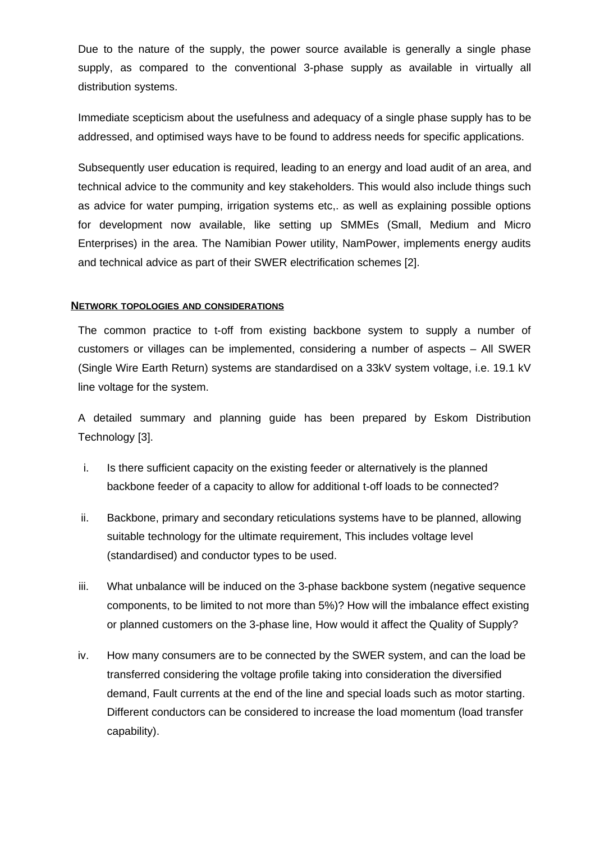Due to the nature of the supply, the power source available is generally a single phase supply, as compared to the conventional 3-phase supply as available in virtually all distribution systems.

Immediate scepticism about the usefulness and adequacy of a single phase supply has to be addressed, and optimised ways have to be found to address needs for specific applications.

Subsequently user education is required, leading to an energy and load audit of an area, and technical advice to the community and key stakeholders. This would also include things such as advice for water pumping, irrigation systems etc,. as well as explaining possible options for development now available, like setting up SMMEs (Small, Medium and Micro Enterprises) in the area. The Namibian Power utility, NamPower, implements energy audits and technical advice as part of their SWER electrification schemes [2].

### **NETWORK TOPOLOGIES AND CONSIDERATIONS**

The common practice to t-off from existing backbone system to supply a number of customers or villages can be implemented, considering a number of aspects – All SWER (Single Wire Earth Return) systems are standardised on a 33kV system voltage, i.e. 19.1 kV line voltage for the system.

A detailed summary and planning guide has been prepared by Eskom Distribution Technology [3].

- i. Is there sufficient capacity on the existing feeder or alternatively is the planned backbone feeder of a capacity to allow for additional t-off loads to be connected?
- ii. Backbone, primary and secondary reticulations systems have to be planned, allowing suitable technology for the ultimate requirement, This includes voltage level (standardised) and conductor types to be used.
- iii. What unbalance will be induced on the 3-phase backbone system (negative sequence components, to be limited to not more than 5%)? How will the imbalance effect existing or planned customers on the 3-phase line, How would it affect the Quality of Supply?
- iv. How many consumers are to be connected by the SWER system, and can the load be transferred considering the voltage profile taking into consideration the diversified demand, Fault currents at the end of the line and special loads such as motor starting. Different conductors can be considered to increase the load momentum (load transfer capability).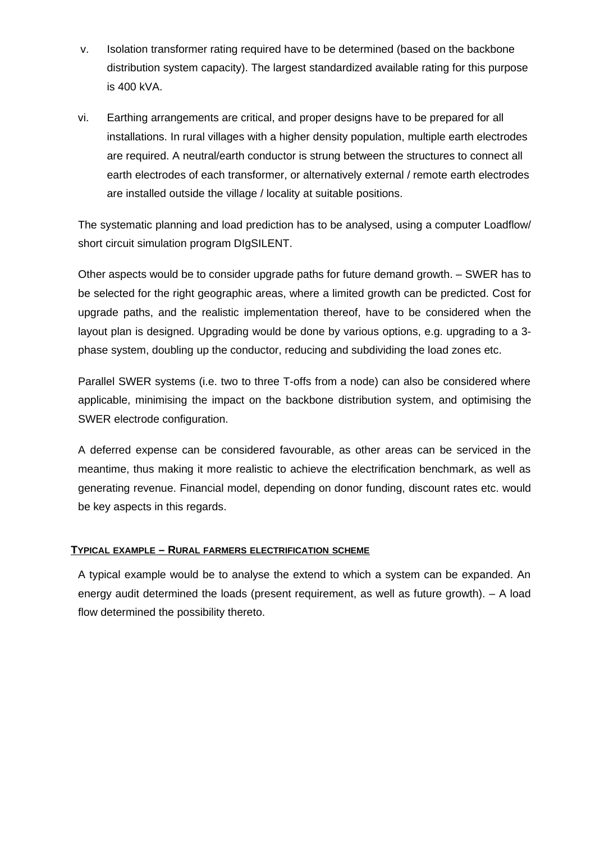- v. Isolation transformer rating required have to be determined (based on the backbone distribution system capacity). The largest standardized available rating for this purpose is 400 kVA.
- vi. Earthing arrangements are critical, and proper designs have to be prepared for all installations. In rural villages with a higher density population, multiple earth electrodes are required. A neutral/earth conductor is strung between the structures to connect all earth electrodes of each transformer, or alternatively external / remote earth electrodes are installed outside the village / locality at suitable positions.

The systematic planning and load prediction has to be analysed, using a computer Loadflow/ short circuit simulation program DIgSILENT.

Other aspects would be to consider upgrade paths for future demand growth. – SWER has to be selected for the right geographic areas, where a limited growth can be predicted. Cost for upgrade paths, and the realistic implementation thereof, have to be considered when the layout plan is designed. Upgrading would be done by various options, e.g. upgrading to a 3 phase system, doubling up the conductor, reducing and subdividing the load zones etc.

Parallel SWER systems (i.e. two to three T-offs from a node) can also be considered where applicable, minimising the impact on the backbone distribution system, and optimising the SWER electrode configuration.

A deferred expense can be considered favourable, as other areas can be serviced in the meantime, thus making it more realistic to achieve the electrification benchmark, as well as generating revenue. Financial model, depending on donor funding, discount rates etc. would be key aspects in this regards.

# **TYPICAL EXAMPLE – RURAL FARMERS ELECTRIFICATION SCHEME**

A typical example would be to analyse the extend to which a system can be expanded. An energy audit determined the loads (present requirement, as well as future growth). – A load flow determined the possibility thereto.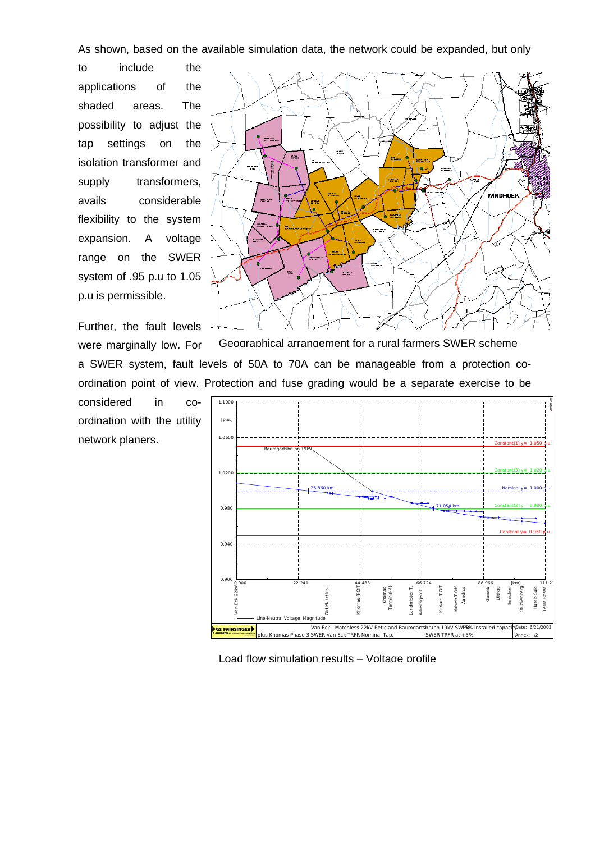As shown, based on the available simulation data, the network could be expanded, but only

to include the applications of the shaded areas. The possibility to adjust the tap settings on the isolation transformer and supply transformers, avails considerable flexibility to the system expansion. A voltage range on the SWER system of .95 p.u to 1.05 p.u is permissible.



were marginally low. For a SWER system, fault levels of 50A to 70A can be manageable from a protection coordination point of view. Protection and fuse grading would be a separate exercise to be Geographical arrangement for a rural farmers SWER scheme

considered in coordination with the utility network planers.



Load flow simulation results – Voltage profile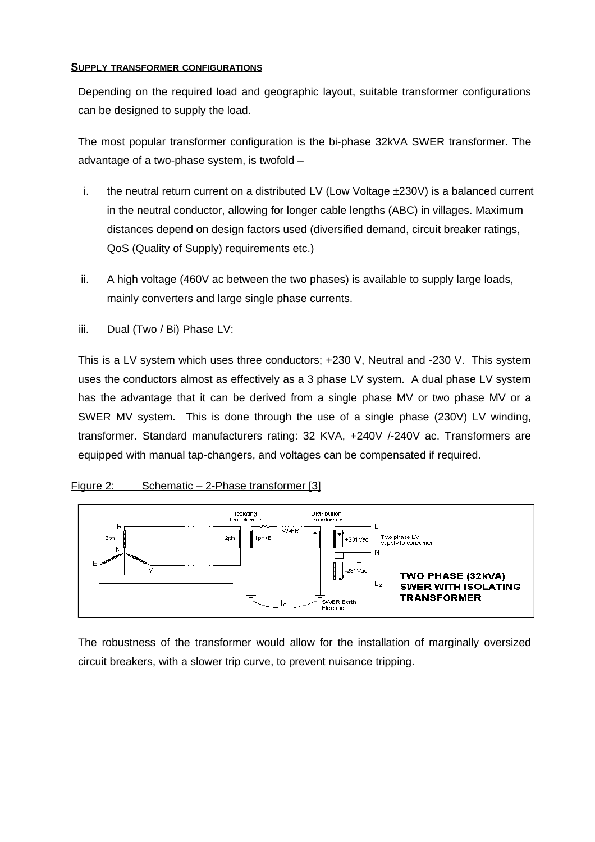## **SUPPLY TRANSFORMER CONFIGURATIONS**

Depending on the required load and geographic layout, suitable transformer configurations can be designed to supply the load.

The most popular transformer configuration is the bi-phase 32kVA SWER transformer. The advantage of a two-phase system, is twofold –

- i. the neutral return current on a distributed LV (Low Voltage ±230V) is a balanced current in the neutral conductor, allowing for longer cable lengths (ABC) in villages. Maximum distances depend on design factors used (diversified demand, circuit breaker ratings, QoS (Quality of Supply) requirements etc.)
- ii. A high voltage (460V ac between the two phases) is available to supply large loads, mainly converters and large single phase currents.
- iii. Dual (Two / Bi) Phase LV:

This is a LV system which uses three conductors; +230 V, Neutral and -230 V. This system uses the conductors almost as effectively as a 3 phase LV system. A dual phase LV system has the advantage that it can be derived from a single phase MV or two phase MV or a SWER MV system. This is done through the use of a single phase (230V) LV winding, transformer. Standard manufacturers rating: 32 KVA, +240V /-240V ac. Transformers are equipped with manual tap-changers, and voltages can be compensated if required.

# Figure 2: Schematic  $-$  2-Phase transformer [3]



The robustness of the transformer would allow for the installation of marginally oversized circuit breakers, with a slower trip curve, to prevent nuisance tripping.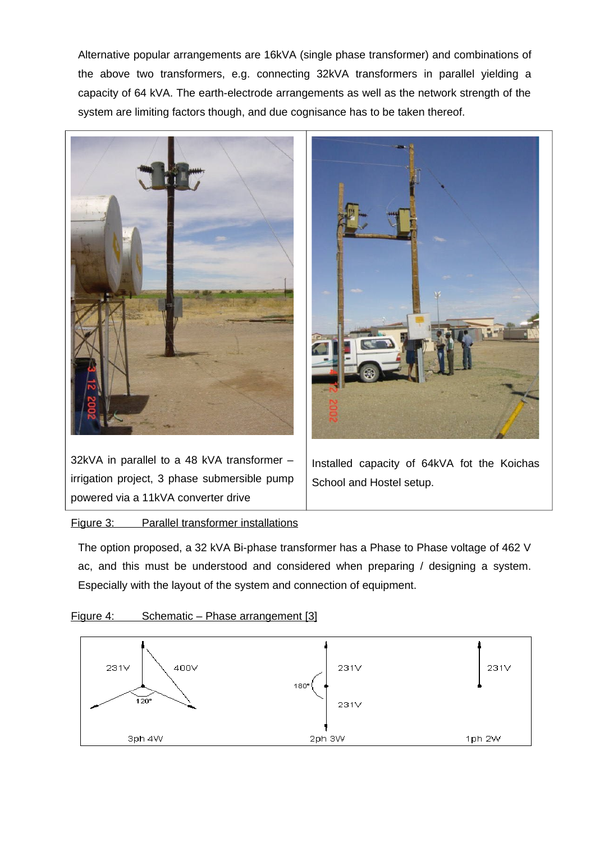Alternative popular arrangements are 16kVA (single phase transformer) and combinations of the above two transformers, e.g. connecting 32kVA transformers in parallel yielding a capacity of 64 kVA. The earth-electrode arrangements as well as the network strength of the system are limiting factors though, and due cognisance has to be taken thereof.



32kVA in parallel to a 48 kVA transformer – irrigation project, 3 phase submersible pump powered via a 11kVA converter drive



Installed capacity of 64kVA fot the Koichas School and Hostel setup.

Figure 3: Parallel transformer installations

The option proposed, a 32 kVA Bi-phase transformer has a Phase to Phase voltage of 462 V ac, and this must be understood and considered when preparing / designing a system. Especially with the layout of the system and connection of equipment.



# Figure 4: Schematic – Phase arrangement [3]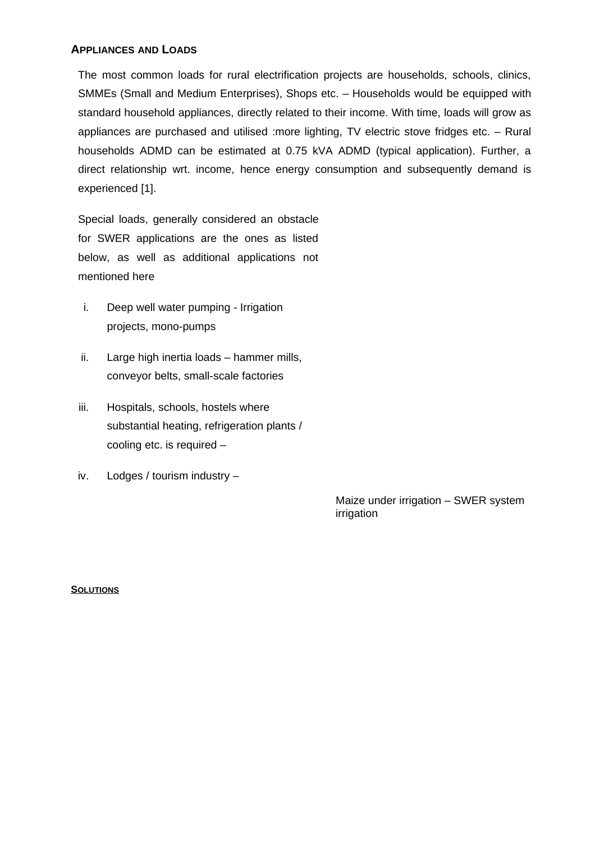### **APPLIANCES AND LOADS**

The most common loads for rural electrification projects are households, schools, clinics, SMMEs (Small and Medium Enterprises), Shops etc. – Households would be equipped with standard household appliances, directly related to their income. With time, loads will grow as appliances are purchased and utilised :more lighting, TV electric stove fridges etc. – Rural households ADMD can be estimated at 0.75 kVA ADMD (typical application). Further, a direct relationship wrt. income, hence energy consumption and subsequently demand is experienced [1].

Special loads, generally considered an obstacle for SWER applications are the ones as listed below, as well as additional applications not mentioned here

- i. Deep well water pumping Irrigation projects, mono-pumps
- ii. Large high inertia loads hammer mills, conveyor belts, small-scale factories
- iii. Hospitals, schools, hostels where substantial heating, refrigeration plants / cooling etc. is required –
- iv. Lodges / tourism industry –

Maize under irrigation – SWER system irrigation

#### **SOLUTIONS**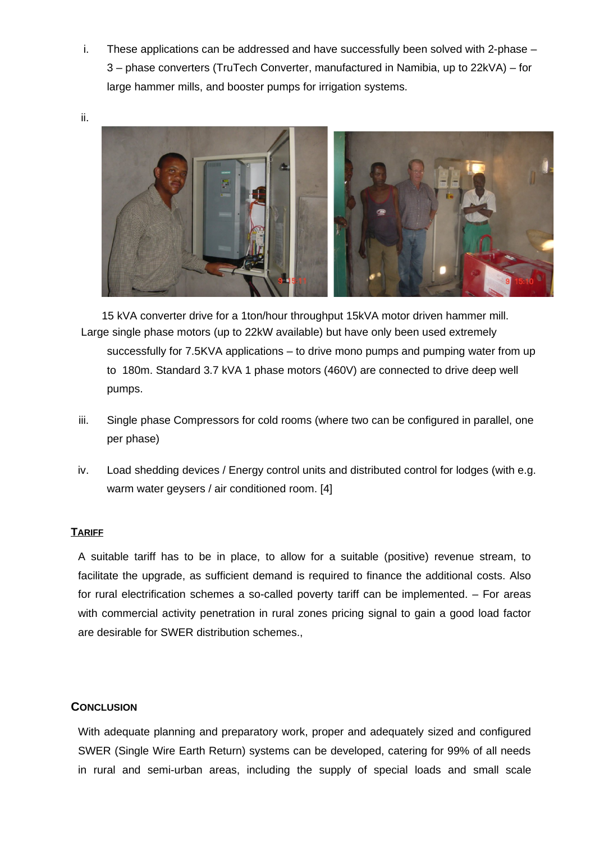i. These applications can be addressed and have successfully been solved with 2-phase – 3 – phase converters (TruTech Converter, manufactured in Namibia, up to 22kVA) – for large hammer mills, and booster pumps for irrigation systems.



Large single phase motors (up to 22kW available) but have only been used extremely successfully for 7.5KVA applications – to drive mono pumps and pumping water from up to 180m. Standard 3.7 kVA 1 phase motors (460V) are connected to drive deep well pumps. 15 kVA converter drive for a 1ton/hour throughput 15kVA motor driven hammer mill.

- iii. Single phase Compressors for cold rooms (where two can be configured in parallel, one per phase)
- iv. Load shedding devices / Energy control units and distributed control for lodges (with e.g. warm water geysers / air conditioned room. [4]

# **TARIFF**

A suitable tariff has to be in place, to allow for a suitable (positive) revenue stream, to facilitate the upgrade, as sufficient demand is required to finance the additional costs. Also for rural electrification schemes a so-called poverty tariff can be implemented. – For areas with commercial activity penetration in rural zones pricing signal to gain a good load factor are desirable for SWER distribution schemes.,

# **CONCLUSION**

With adequate planning and preparatory work, proper and adequately sized and configured SWER (Single Wire Earth Return) systems can be developed, catering for 99% of all needs in rural and semi-urban areas, including the supply of special loads and small scale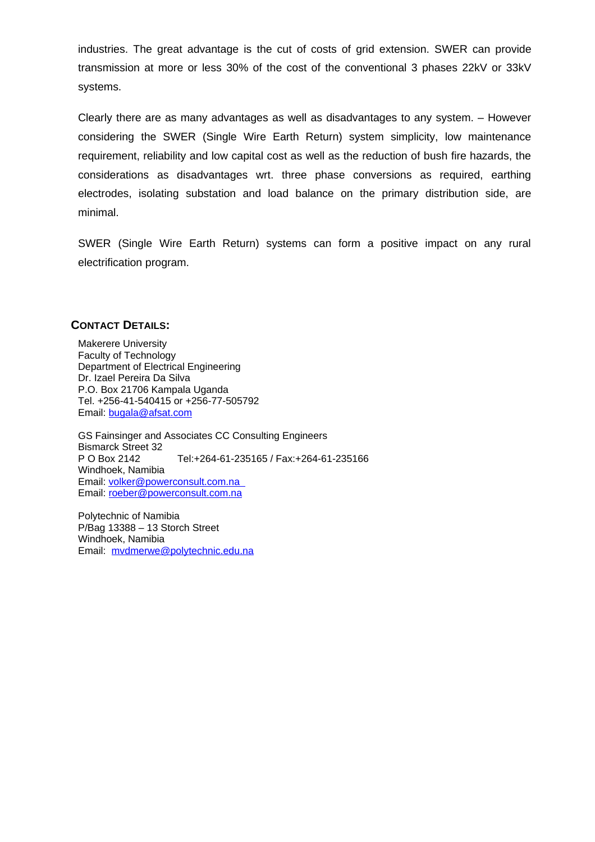industries. The great advantage is the cut of costs of grid extension. SWER can provide transmission at more or less 30% of the cost of the conventional 3 phases 22kV or 33kV systems.

Clearly there are as many advantages as well as disadvantages to any system. – However considering the SWER (Single Wire Earth Return) system simplicity, low maintenance requirement, reliability and low capital cost as well as the reduction of bush fire hazards, the considerations as disadvantages wrt. three phase conversions as required, earthing electrodes, isolating substation and load balance on the primary distribution side, are minimal.

SWER (Single Wire Earth Return) systems can form a positive impact on any rural electrification program.

## **CONTACT DETAILS:**

Makerere University Faculty of Technology Department of Electrical Engineering Dr. Izael Pereira Da Silva P.O. Box 21706 Kampala Uganda Tel. +256-41-540415 or +256-77-505792 Email: [bugala@afsat.com](mailto:bugala@afsat.com)

GS Fainsinger and Associates CC Consulting Engineers Bismarck Street 32 P O Box 2142 Tel:+264-61-235165 / Fax:+264-61-235166 Windhoek, Namibia Email: [volker@powerconsult.com.na](mailto:volker@powerconsult.com.na)  Email: [roeber@powerconsult.com.na](mailto:roeber@powerconsult.com.na)

Polytechnic of Namibia P/Bag 13388 – 13 Storch Street Windhoek, Namibia Email: [mvdmerwe@polytechnic.edu.na](mailto:mvdmerwe@polytechnic.edu.na)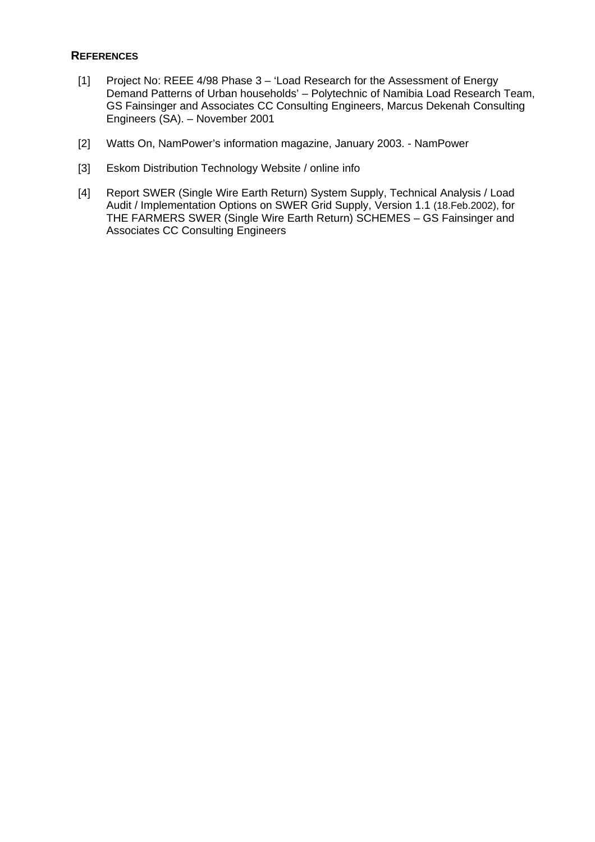# **REFERENCES**

- [1] Project No: REEE 4/98 Phase 3 'Load Research for the Assessment of Energy Demand Patterns of Urban households' – Polytechnic of Namibia Load Research Team, GS Fainsinger and Associates CC Consulting Engineers, Marcus Dekenah Consulting Engineers (SA). – November 2001
- [2] Watts On, NamPower's information magazine, January 2003. NamPower
- [3] Eskom Distribution Technology Website / online info
- [4] Report SWER (Single Wire Earth Return) System Supply, Technical Analysis / Load Audit / Implementation Options on SWER Grid Supply, Version 1.1 (18.Feb.2002), for THE FARMERS SWER (Single Wire Earth Return) SCHEMES – GS Fainsinger and Associates CC Consulting Engineers